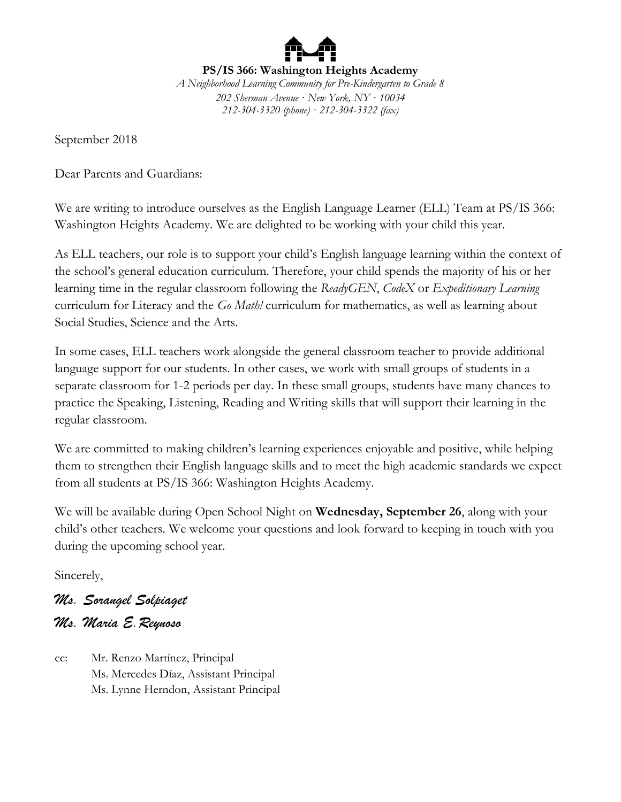**PS/IS 366: Washington Heights Academy** *A Neighborhood Learning Community for Pre-Kindergarten to Grade 8 202 Sherman Avenue · New York, NY · 10034 212-304-3320 (phone) · 212-304-3322 (fax)*

September 2018

Dear Parents and Guardians:

We are writing to introduce ourselves as the English Language Learner (ELL) Team at PS/IS 366: Washington Heights Academy. We are delighted to be working with your child this year.

As ELL teachers, our role is to support your child's English language learning within the context of the school's general education curriculum. Therefore, your child spends the majority of his or her learning time in the regular classroom following the *ReadyGEN*, *CodeX* or *Expeditionary Learning* curriculum for Literacy and the *Go Math!* curriculum for mathematics, as well as learning about Social Studies, Science and the Arts.

In some cases, ELL teachers work alongside the general classroom teacher to provide additional language support for our students. In other cases, we work with small groups of students in a separate classroom for 1-2 periods per day. In these small groups, students have many chances to practice the Speaking, Listening, Reading and Writing skills that will support their learning in the regular classroom.

We are committed to making children's learning experiences enjoyable and positive, while helping them to strengthen their English language skills and to meet the high academic standards we expect from all students at PS/IS 366: Washington Heights Academy.

We will be available during Open School Night on **Wednesday, September 26**, along with your child's other teachers. We welcome your questions and look forward to keeping in touch with you during the upcoming school year.

Sincerely,

*Ms. Sorangel Solpiaget Ms. Maria E.Reynoso*

cc: Mr. Renzo Martínez, Principal Ms. Mercedes Díaz, Assistant Principal Ms. Lynne Herndon, Assistant Principal